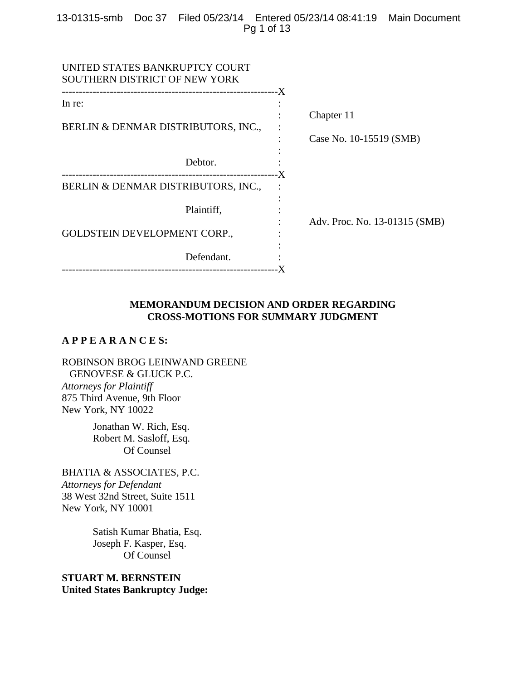## 13-01315-smb Doc 37 Filed 05/23/14 Entered 05/23/14 08:41:19 Main Document Pg 1 of 13

| Chapter 11                    |
|-------------------------------|
| Case No. 10-15519 (SMB)       |
|                               |
| -X                            |
|                               |
| Adv. Proc. No. 13-01315 (SMB) |
|                               |
|                               |

## **MEMORANDUM DECISION AND ORDER REGARDING CROSS-MOTIONS FOR SUMMARY JUDGMENT**

# **A P P E A R A N C E S:**

ROBINSON BROG LEINWAND GREENE GENOVESE & GLUCK P.C. *Attorneys for Plaintiff* 875 Third Avenue, 9th Floor New York, NY 10022

> Jonathan W. Rich, Esq. Robert M. Sasloff, Esq. Of Counsel

BHATIA & ASSOCIATES, P.C. *Attorneys for Defendant* 38 West 32nd Street, Suite 1511 New York, NY 10001

> Satish Kumar Bhatia, Esq. Joseph F. Kasper, Esq. Of Counsel

**STUART M. BERNSTEIN United States Bankruptcy Judge:**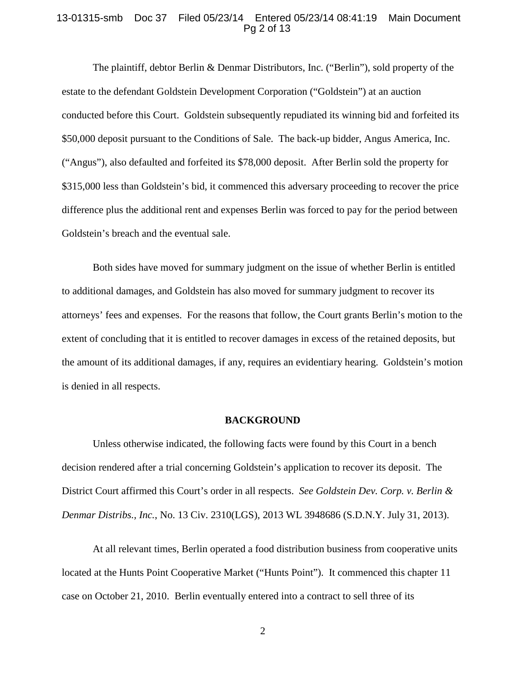#### 13-01315-smb Doc 37 Filed 05/23/14 Entered 05/23/14 08:41:19 Main Document Pg 2 of 13

The plaintiff, debtor Berlin & Denmar Distributors, Inc. ("Berlin"), sold property of the estate to the defendant Goldstein Development Corporation ("Goldstein") at an auction conducted before this Court. Goldstein subsequently repudiated its winning bid and forfeited its \$50,000 deposit pursuant to the Conditions of Sale. The back-up bidder, Angus America, Inc. ("Angus"), also defaulted and forfeited its \$78,000 deposit. After Berlin sold the property for \$315,000 less than Goldstein's bid, it commenced this adversary proceeding to recover the price difference plus the additional rent and expenses Berlin was forced to pay for the period between Goldstein's breach and the eventual sale.

Both sides have moved for summary judgment on the issue of whether Berlin is entitled to additional damages, and Goldstein has also moved for summary judgment to recover its attorneys' fees and expenses. For the reasons that follow, the Court grants Berlin's motion to the extent of concluding that it is entitled to recover damages in excess of the retained deposits, but the amount of its additional damages, if any, requires an evidentiary hearing. Goldstein's motion is denied in all respects.

#### **BACKGROUND**

Unless otherwise indicated, the following facts were found by this Court in a bench decision rendered after a trial concerning Goldstein's application to recover its deposit. The District Court affirmed this Court's order in all respects. *See Goldstein Dev. Corp. v. Berlin & Denmar Distribs., Inc.*, No. 13 Civ. 2310(LGS), 2013 WL 3948686 (S.D.N.Y. July 31, 2013).

At all relevant times, Berlin operated a food distribution business from cooperative units located at the Hunts Point Cooperative Market ("Hunts Point"). It commenced this chapter 11 case on October 21, 2010. Berlin eventually entered into a contract to sell three of its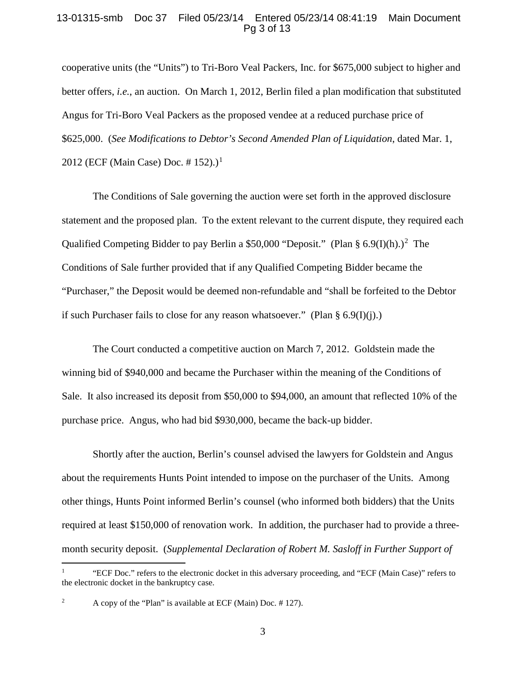### 13-01315-smb Doc 37 Filed 05/23/14 Entered 05/23/14 08:41:19 Main Document Pg 3 of 13

cooperative units (the "Units") to Tri-Boro Veal Packers, Inc. for \$675,000 subject to higher and better offers, *i.e.*, an auction. On March 1, 2012, Berlin filed a plan modification that substituted Angus for Tri-Boro Veal Packers as the proposed vendee at a reduced purchase price of \$625,000. (*See Modifications to Debtor's Second Amended Plan of Liquidation*, dated Mar. 1, 20[1](#page-2-0)2 (ECF (Main Case) Doc. # 152).)<sup>1</sup>

The Conditions of Sale governing the auction were set forth in the approved disclosure statement and the proposed plan. To the extent relevant to the current dispute, they required each Qualified Competing Bidder to pay Berlin a \$50,000 "Deposit." (Plan § 6.9(I)(h).)<sup>[2](#page-2-1)</sup> The Conditions of Sale further provided that if any Qualified Competing Bidder became the "Purchaser," the Deposit would be deemed non-refundable and "shall be forfeited to the Debtor if such Purchaser fails to close for any reason whatsoever." (Plan  $\S 6.9(I)(i)$ .)

The Court conducted a competitive auction on March 7, 2012. Goldstein made the winning bid of \$940,000 and became the Purchaser within the meaning of the Conditions of Sale. It also increased its deposit from \$50,000 to \$94,000, an amount that reflected 10% of the purchase price. Angus, who had bid \$930,000, became the back-up bidder.

Shortly after the auction, Berlin's counsel advised the lawyers for Goldstein and Angus about the requirements Hunts Point intended to impose on the purchaser of the Units. Among other things, Hunts Point informed Berlin's counsel (who informed both bidders) that the Units required at least \$150,000 of renovation work. In addition, the purchaser had to provide a threemonth security deposit. (*Supplemental Declaration of Robert M. Sasloff in Further Support of* 

 $\overline{a}$ 

<span id="page-2-0"></span><sup>1</sup> "ECF Doc." refers to the electronic docket in this adversary proceeding, and "ECF (Main Case)" refers to the electronic docket in the bankruptcy case.

<span id="page-2-1"></span><sup>&</sup>lt;sup>2</sup> A copy of the "Plan" is available at ECF (Main) Doc.  $\#$  127).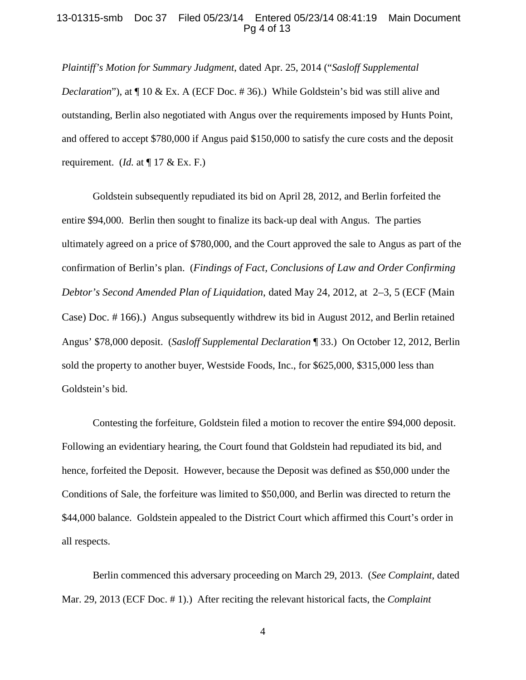### 13-01315-smb Doc 37 Filed 05/23/14 Entered 05/23/14 08:41:19 Main Document Pg 4 of 13

*Plaintiff's Motion for Summary Judgment*, dated Apr. 25, 2014 ("*Sasloff Supplemental Declaration*"), at  $\P$  10 & Ex. A (ECF Doc. #36).) While Goldstein's bid was still alive and outstanding, Berlin also negotiated with Angus over the requirements imposed by Hunts Point, and offered to accept \$780,000 if Angus paid \$150,000 to satisfy the cure costs and the deposit requirement. (*Id.* at  $\P$  17 & Ex. F.)

Goldstein subsequently repudiated its bid on April 28, 2012, and Berlin forfeited the entire \$94,000. Berlin then sought to finalize its back-up deal with Angus. The parties ultimately agreed on a price of \$780,000, and the Court approved the sale to Angus as part of the confirmation of Berlin's plan. (*Findings of Fact, Conclusions of Law and Order Confirming Debtor's Second Amended Plan of Liquidation*, dated May 24, 2012, at 2–3, 5 (ECF (Main Case) Doc. # 166).) Angus subsequently withdrew its bid in August 2012, and Berlin retained Angus' \$78,000 deposit. (*Sasloff Supplemental Declaration* ¶ 33.) On October 12, 2012, Berlin sold the property to another buyer, Westside Foods, Inc., for \$625,000, \$315,000 less than Goldstein's bid.

Contesting the forfeiture, Goldstein filed a motion to recover the entire \$94,000 deposit. Following an evidentiary hearing, the Court found that Goldstein had repudiated its bid, and hence, forfeited the Deposit. However, because the Deposit was defined as \$50,000 under the Conditions of Sale, the forfeiture was limited to \$50,000, and Berlin was directed to return the \$44,000 balance. Goldstein appealed to the District Court which affirmed this Court's order in all respects.

Berlin commenced this adversary proceeding on March 29, 2013. (*See Complaint*, dated Mar. 29, 2013 (ECF Doc. # 1).) After reciting the relevant historical facts, the *Complaint*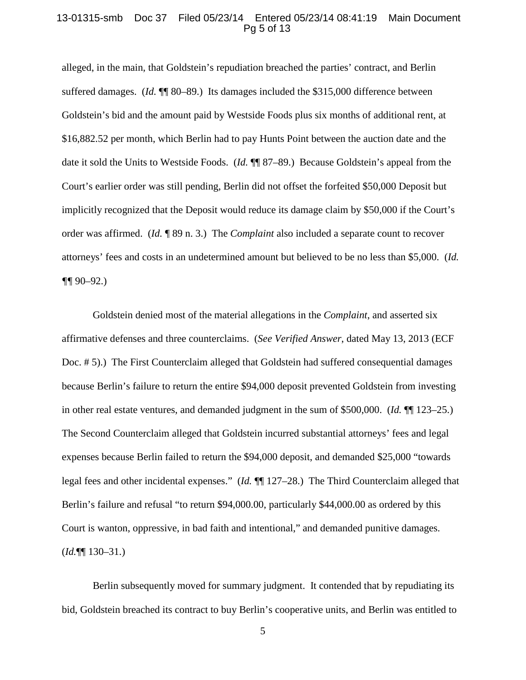#### 13-01315-smb Doc 37 Filed 05/23/14 Entered 05/23/14 08:41:19 Main Document Pg 5 of 13

alleged, in the main, that Goldstein's repudiation breached the parties' contract, and Berlin suffered damages. (*Id.* ¶¶ 80–89.) Its damages included the \$315,000 difference between Goldstein's bid and the amount paid by Westside Foods plus six months of additional rent, at \$16,882.52 per month, which Berlin had to pay Hunts Point between the auction date and the date it sold the Units to Westside Foods. (*Id.* ¶¶ 87–89.) Because Goldstein's appeal from the Court's earlier order was still pending, Berlin did not offset the forfeited \$50,000 Deposit but implicitly recognized that the Deposit would reduce its damage claim by \$50,000 if the Court's order was affirmed. (*Id.* ¶ 89 n. 3.) The *Complaint* also included a separate count to recover attorneys' fees and costs in an undetermined amount but believed to be no less than \$5,000. (*Id. ¶¶* 90–92.)

Goldstein denied most of the material allegations in the *Complaint*, and asserted six affirmative defenses and three counterclaims. (*See Verified Answer*, dated May 13, 2013 (ECF Doc. # 5).) The First Counterclaim alleged that Goldstein had suffered consequential damages because Berlin's failure to return the entire \$94,000 deposit prevented Goldstein from investing in other real estate ventures, and demanded judgment in the sum of \$500,000. (*Id.* ¶[123–25.) The Second Counterclaim alleged that Goldstein incurred substantial attorneys' fees and legal expenses because Berlin failed to return the \$94,000 deposit, and demanded \$25,000 "towards legal fees and other incidental expenses." (*Id.* ¶¶ 127–28.) The Third Counterclaim alleged that Berlin's failure and refusal "to return \$94,000.00, particularly \$44,000.00 as ordered by this Court is wanton, oppressive, in bad faith and intentional," and demanded punitive damages. (*Id.*¶¶ 130–31.)

Berlin subsequently moved for summary judgment. It contended that by repudiating its bid, Goldstein breached its contract to buy Berlin's cooperative units, and Berlin was entitled to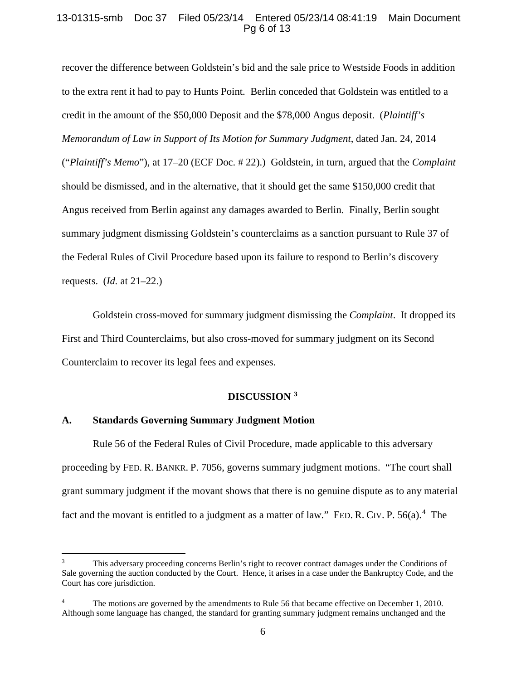## 13-01315-smb Doc 37 Filed 05/23/14 Entered 05/23/14 08:41:19 Main Document Pg 6 of 13

recover the difference between Goldstein's bid and the sale price to Westside Foods in addition to the extra rent it had to pay to Hunts Point. Berlin conceded that Goldstein was entitled to a credit in the amount of the \$50,000 Deposit and the \$78,000 Angus deposit. (*Plaintiff's Memorandum of Law in Support of Its Motion for Summary Judgment*, dated Jan. 24, 2014 ("*Plaintiff's Memo*"), at 17–20 (ECF Doc. # 22).) Goldstein, in turn, argued that the *Complaint* should be dismissed, and in the alternative, that it should get the same \$150,000 credit that Angus received from Berlin against any damages awarded to Berlin. Finally, Berlin sought summary judgment dismissing Goldstein's counterclaims as a sanction pursuant to Rule 37 of the Federal Rules of Civil Procedure based upon its failure to respond to Berlin's discovery requests. (*Id.* at 21–22.)

Goldstein cross-moved for summary judgment dismissing the *Complaint*. It dropped its First and Third Counterclaims, but also cross-moved for summary judgment on its Second Counterclaim to recover its legal fees and expenses.

## **DISCUSSION [3](#page-5-0)**

# **A. Standards Governing Summary Judgment Motion**

 $\overline{a}$ 

Rule 56 of the Federal Rules of Civil Procedure, made applicable to this adversary proceeding by FED. R. BANKR. P. 7056, governs summary judgment motions. "The court shall grant summary judgment if the movant shows that there is no genuine dispute as to any material fact and the movant is entitled to a judgment as a matter of law." FED. R. CIV. P.  $56(a)$ .<sup>[4](#page-5-1)</sup> The

<span id="page-5-0"></span><sup>3</sup> This adversary proceeding concerns Berlin's right to recover contract damages under the Conditions of Sale governing the auction conducted by the Court. Hence, it arises in a case under the Bankruptcy Code, and the Court has core jurisdiction.

<span id="page-5-1"></span><sup>&</sup>lt;sup>4</sup> The motions are governed by the amendments to Rule 56 that became effective on December 1, 2010. Although some language has changed, the standard for granting summary judgment remains unchanged and the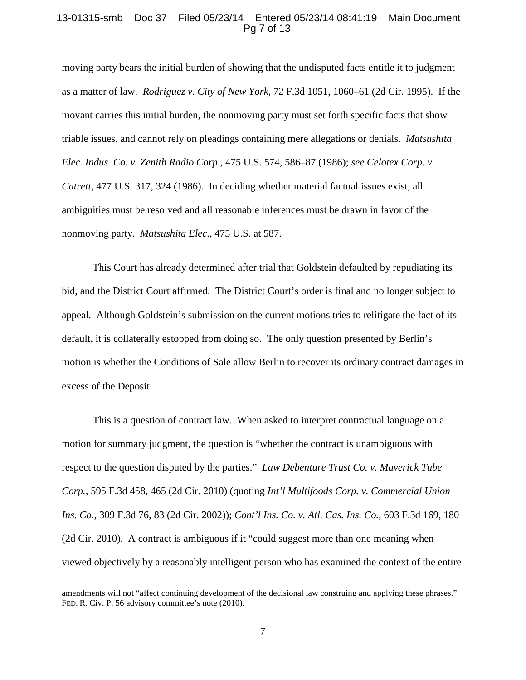### 13-01315-smb Doc 37 Filed 05/23/14 Entered 05/23/14 08:41:19 Main Document Pg 7 of 13

moving party bears the initial burden of showing that the undisputed facts entitle it to judgment as a matter of law. *Rodriguez v. City of New York*, 72 F.3d 1051, 1060–61 (2d Cir. 1995). If the movant carries this initial burden, the nonmoving party must set forth specific facts that show triable issues, and cannot rely on pleadings containing mere allegations or denials. *Matsushita Elec. Indus. Co. v. Zenith Radio Corp.*, 475 U.S. 574, 586–87 (1986); *see Celotex Corp. v. Catrett*, 477 U.S. 317, 324 (1986). In deciding whether material factual issues exist, all ambiguities must be resolved and all reasonable inferences must be drawn in favor of the nonmoving party. *Matsushita Elec*., 475 U.S. at 587.

This Court has already determined after trial that Goldstein defaulted by repudiating its bid, and the District Court affirmed. The District Court's order is final and no longer subject to appeal. Although Goldstein's submission on the current motions tries to relitigate the fact of its default, it is collaterally estopped from doing so. The only question presented by Berlin's motion is whether the Conditions of Sale allow Berlin to recover its ordinary contract damages in excess of the Deposit.

This is a question of contract law. When asked to interpret contractual language on a motion for summary judgment, the question is "whether the contract is unambiguous with respect to the question disputed by the parties." *Law Debenture Trust Co. v. Maverick Tube Corp.*, 595 F.3d 458, 465 (2d Cir. 2010) (quoting *Int'l Multifoods Corp. v. Commercial Union Ins. Co.*, 309 F.3d 76, 83 (2d Cir. 2002)); *Cont'l Ins. Co. v. Atl. Cas. Ins. Co.*, 603 F.3d 169, 180 (2d Cir. 2010). A contract is ambiguous if it "could suggest more than one meaning when viewed objectively by a reasonably intelligent person who has examined the context of the entire

 $\overline{a}$ 

amendments will not "affect continuing development of the decisional law construing and applying these phrases." FED. R. Civ. P. 56 advisory committee's note (2010).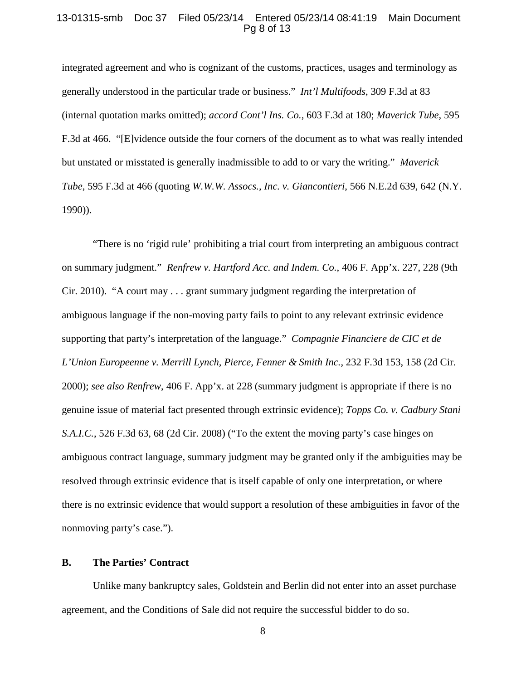### 13-01315-smb Doc 37 Filed 05/23/14 Entered 05/23/14 08:41:19 Main Document Pg 8 of 13

integrated agreement and who is cognizant of the customs, practices, usages and terminology as generally understood in the particular trade or business." *Int'l Multifoods*, 309 F.3d at 83 (internal quotation marks omitted); *accord Cont'l Ins. Co.*, 603 F.3d at 180; *Maverick Tube*, 595 F.3d at 466. "[E]vidence outside the four corners of the document as to what was really intended but unstated or misstated is generally inadmissible to add to or vary the writing." *Maverick Tube*, 595 F.3d at 466 (quoting *W.W.W. Assocs., Inc. v. Giancontieri*, 566 N.E.2d 639, 642 (N.Y. 1990)).

"There is no 'rigid rule' prohibiting a trial court from interpreting an ambiguous contract on summary judgment." *Renfrew v. Hartford Acc. and Indem. Co.*, 406 F. App'x. 227, 228 (9th Cir. 2010). "A court may . . . grant summary judgment regarding the interpretation of ambiguous language if the non-moving party fails to point to any relevant extrinsic evidence supporting that party's interpretation of the language." *Compagnie Financiere de CIC et de L'Union Europeenne v. Merrill Lynch, Pierce, Fenner & Smith Inc.*, 232 F.3d 153, 158 (2d Cir. 2000); *see also Renfrew*, 406 F. App'x. at 228 (summary judgment is appropriate if there is no genuine issue of material fact presented through extrinsic evidence); *Topps Co. v. Cadbury Stani S.A.I.C.*, 526 F.3d 63, 68 (2d Cir. 2008) ("To the extent the moving party's case hinges on ambiguous contract language, summary judgment may be granted only if the ambiguities may be resolved through extrinsic evidence that is itself capable of only one interpretation, or where there is no extrinsic evidence that would support a resolution of these ambiguities in favor of the nonmoving party's case.").

### **B. The Parties' Contract**

Unlike many bankruptcy sales, Goldstein and Berlin did not enter into an asset purchase agreement, and the Conditions of Sale did not require the successful bidder to do so.

8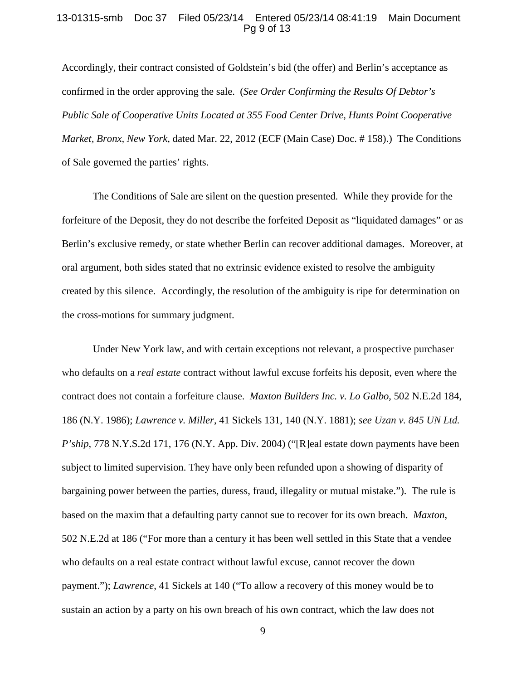### 13-01315-smb Doc 37 Filed 05/23/14 Entered 05/23/14 08:41:19 Main Document Pg 9 of 13

Accordingly, their contract consisted of Goldstein's bid (the offer) and Berlin's acceptance as confirmed in the order approving the sale. (*See Order Confirming the Results Of Debtor's Public Sale of Cooperative Units Located at 355 Food Center Drive, Hunts Point Cooperative Market, Bronx, New York*, dated Mar. 22, 2012 (ECF (Main Case) Doc. # 158).) The Conditions of Sale governed the parties' rights.

The Conditions of Sale are silent on the question presented. While they provide for the forfeiture of the Deposit, they do not describe the forfeited Deposit as "liquidated damages" or as Berlin's exclusive remedy, or state whether Berlin can recover additional damages. Moreover, at oral argument, both sides stated that no extrinsic evidence existed to resolve the ambiguity created by this silence. Accordingly, the resolution of the ambiguity is ripe for determination on the cross-motions for summary judgment.

Under New York law, and with certain exceptions not relevant, a prospective purchaser who defaults on a *real estate* contract without lawful excuse forfeits his deposit, even where the contract does not contain a forfeiture clause. *Maxton Builders Inc. v. Lo Galbo*, 502 N.E.2d 184, 186 (N.Y. 1986); *Lawrence v. Miller*, 41 Sickels 131, 140 (N.Y. 1881); *see Uzan v. 845 UN Ltd. P'ship*, 778 N.Y.S.2d 171, 176 (N.Y. App. Div. 2004) ("[R]eal estate down payments have been subject to limited supervision. They have only been refunded upon a showing of disparity of bargaining power between the parties, duress, fraud, illegality or mutual mistake."). The rule is based on the maxim that a defaulting party cannot sue to recover for its own breach. *Maxton*, 502 N.E.2d at 186 ("For more than a century it has been well settled in this State that a vendee who defaults on a real estate contract without lawful excuse, cannot recover the down payment."); *Lawrence*, 41 Sickels at 140 ("To allow a recovery of this money would be to sustain an action by a party on his own breach of his own contract, which the law does not

9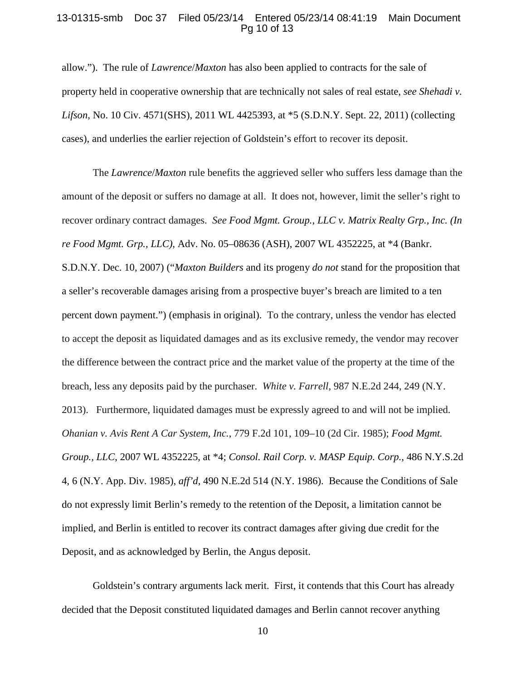### 13-01315-smb Doc 37 Filed 05/23/14 Entered 05/23/14 08:41:19 Main Document Pg 10 of 13

allow."). The rule of *Lawrence*/*Maxton* has also been applied to contracts for the sale of property held in cooperative ownership that are technically not sales of real estate, *see Shehadi v. Lifson*, No. 10 Civ. 4571(SHS), 2011 WL 4425393, at \*5 (S.D.N.Y. Sept. 22, 2011) (collecting cases), and underlies the earlier rejection of Goldstein's effort to recover its deposit.

The *Lawrence*/*Maxton* rule benefits the aggrieved seller who suffers less damage than the amount of the deposit or suffers no damage at all. It does not, however, limit the seller's right to recover ordinary contract damages. *See Food Mgmt. Group., LLC v. Matrix Realty Grp., Inc. (In re Food Mgmt. Grp., LLC)*, Adv. No. 05–08636 (ASH), 2007 WL 4352225, at \*4 (Bankr. S.D.N.Y. Dec. 10, 2007) ("*Maxton Builders* and its progeny *do not* stand for the proposition that a seller's recoverable damages arising from a prospective buyer's breach are limited to a ten percent down payment.") (emphasis in original). To the contrary, unless the vendor has elected to accept the deposit as liquidated damages and as its exclusive remedy, the vendor may recover the difference between the contract price and the market value of the property at the time of the breach, less any deposits paid by the purchaser. *White v. Farrell*, 987 N.E.2d 244, 249 (N.Y. 2013). Furthermore, liquidated damages must be expressly agreed to and will not be implied. *Ohanian v. Avis Rent A Car System, Inc.*, 779 F.2d 101, 109–10 (2d Cir. 1985); *Food Mgmt. Group., LLC*, 2007 WL 4352225, at \*4; *Consol. Rail Corp. v. MASP Equip. Corp.*, 486 N.Y.S.2d 4, 6 (N.Y. App. Div. 1985), *aff'd*, 490 N.E.2d 514 (N.Y. 1986). Because the Conditions of Sale do not expressly limit Berlin's remedy to the retention of the Deposit, a limitation cannot be implied, and Berlin is entitled to recover its contract damages after giving due credit for the Deposit, and as acknowledged by Berlin, the Angus deposit.

Goldstein's contrary arguments lack merit. First, it contends that this Court has already decided that the Deposit constituted liquidated damages and Berlin cannot recover anything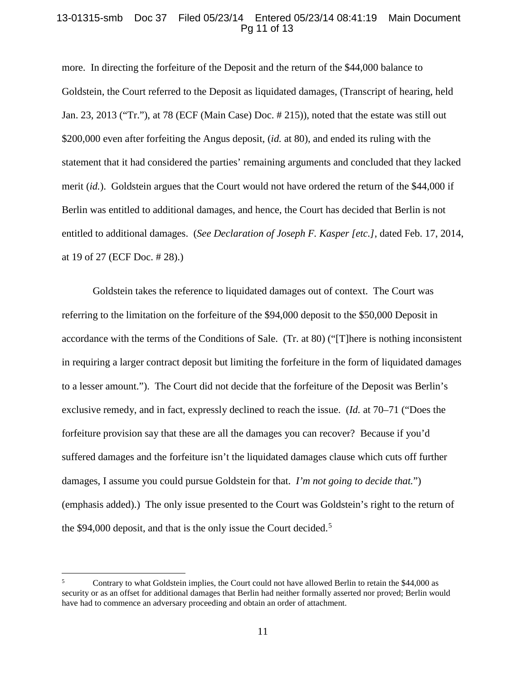## 13-01315-smb Doc 37 Filed 05/23/14 Entered 05/23/14 08:41:19 Main Document Pg 11 of 13

more. In directing the forfeiture of the Deposit and the return of the \$44,000 balance to Goldstein, the Court referred to the Deposit as liquidated damages, (Transcript of hearing, held Jan. 23, 2013 ("Tr."), at 78 (ECF (Main Case) Doc. # 215)), noted that the estate was still out \$200,000 even after forfeiting the Angus deposit, (*id.* at 80), and ended its ruling with the statement that it had considered the parties' remaining arguments and concluded that they lacked merit (*id.*). Goldstein argues that the Court would not have ordered the return of the \$44,000 if Berlin was entitled to additional damages, and hence, the Court has decided that Berlin is not entitled to additional damages. (*See Declaration of Joseph F. Kasper [etc.]*, dated Feb. 17, 2014, at 19 of 27 (ECF Doc. # 28).)

Goldstein takes the reference to liquidated damages out of context. The Court was referring to the limitation on the forfeiture of the \$94,000 deposit to the \$50,000 Deposit in accordance with the terms of the Conditions of Sale. (Tr. at 80) ("[T]here is nothing inconsistent in requiring a larger contract deposit but limiting the forfeiture in the form of liquidated damages to a lesser amount."). The Court did not decide that the forfeiture of the Deposit was Berlin's exclusive remedy, and in fact, expressly declined to reach the issue. (*Id.* at 70–71 ("Does the forfeiture provision say that these are all the damages you can recover? Because if you'd suffered damages and the forfeiture isn't the liquidated damages clause which cuts off further damages, I assume you could pursue Goldstein for that. *I'm not going to decide that.*") (emphasis added).) The only issue presented to the Court was Goldstein's right to the return of the \$94,000 deposit, and that is the only issue the Court decided.<sup>[5](#page-10-0)</sup>

<span id="page-10-0"></span><sup>5</sup> Contrary to what Goldstein implies, the Court could not have allowed Berlin to retain the \$44,000 as security or as an offset for additional damages that Berlin had neither formally asserted nor proved; Berlin would have had to commence an adversary proceeding and obtain an order of attachment.  $\overline{5}$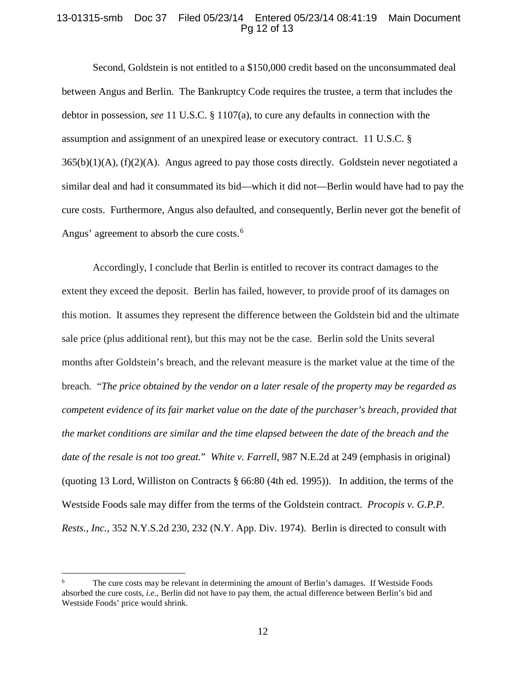## 13-01315-smb Doc 37 Filed 05/23/14 Entered 05/23/14 08:41:19 Main Document Pg 12 of 13

Second, Goldstein is not entitled to a \$150,000 credit based on the unconsummated deal between Angus and Berlin. The Bankruptcy Code requires the trustee, a term that includes the debtor in possession, *see* 11 U.S.C. § 1107(a), to cure any defaults in connection with the assumption and assignment of an unexpired lease or executory contract. 11 U.S.C. §  $365(b)(1)(A)$ ,  $(f)(2)(A)$ . Angus agreed to pay those costs directly. Goldstein never negotiated a similar deal and had it consummated its bid—which it did not—Berlin would have had to pay the cure costs. Furthermore, Angus also defaulted, and consequently, Berlin never got the benefit of Angus' agreement to absorb the cure costs.<sup>[6](#page-11-0)</sup>

Accordingly, I conclude that Berlin is entitled to recover its contract damages to the extent they exceed the deposit. Berlin has failed, however, to provide proof of its damages on this motion. It assumes they represent the difference between the Goldstein bid and the ultimate sale price (plus additional rent), but this may not be the case. Berlin sold the Units several months after Goldstein's breach, and the relevant measure is the market value at the time of the breach*.* "*The price obtained by the vendor on a later resale of the property may be regarded as competent evidence of its fair market value on the date of the purchaser's breach, provided that the market conditions are similar and the time elapsed between the date of the breach and the date of the resale is not too great.*" *White v. Farrell*, 987 N.E.2d at 249 (emphasis in original) (quoting 13 Lord, Williston on Contracts § 66:80 (4th ed. 1995)). In addition, the terms of the Westside Foods sale may differ from the terms of the Goldstein contract. *Procopis v. G.P.P. Rests., Inc.*, 352 N.Y.S.2d 230, 232 (N.Y. App. Div. 1974). Berlin is directed to consult with

 $\overline{a}$ 

<span id="page-11-0"></span><sup>6</sup> The cure costs may be relevant in determining the amount of Berlin's damages. If Westside Foods absorbed the cure costs, *i.e.*, Berlin did not have to pay them, the actual difference between Berlin's bid and Westside Foods' price would shrink.